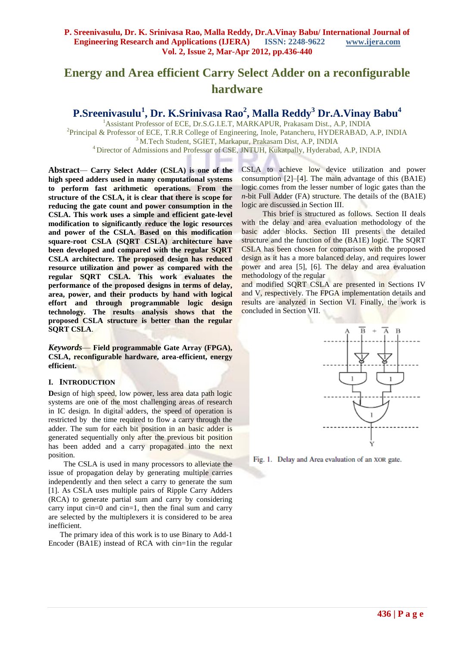# **Energy and Area efficient Carry Select Adder on a reconfigurable hardware**

**P.Sreenivasulu<sup>1</sup> , Dr. K.Srinivasa Rao<sup>2</sup> , Malla Reddy<sup>3</sup> Dr.A.Vinay Babu<sup>4</sup>**

<sup>1</sup>Assistant Professor of ECE, Dr.S.G.I.E.T, MARKAPUR, Prakasam Dist., A.P, INDIA <sup>2</sup>Principal & Professor of ECE, T.R.R College of Engineering, Inole, Patancheru, HYDERABAD, A.P, INDIA <sup>3</sup> M.Tech Student, SGIET, Markapur, Prakasam Dist, A.P, INDIA <sup>4</sup> Director of Admissions and Professor of CSE, JNTUH, Kukatpally, Hyderabad, A.P, INDIA

**Abstract***—* **Carry Select Adder (CSLA) is one of the high speed adders used in many computational systems to perform fast arithmetic operations. From the structure of the CSLA, it is clear that there is scope for reducing the gate count and power consumption in the CSLA. This work uses a simple and efficient gate-level modification to significantly reduce the logic resources and power of the CSLA. Based on this modification square-root CSLA (SQRT CSLA) architecture have been developed and compared with the regular SQRT CSLA architecture. The proposed design has reduced resource utilization and power as compared with the regular SQRT CSLA. This work evaluates the performance of the proposed designs in terms of delay, area, power, and their products by hand with logical effort and through programmable logic design technology. The results analysis shows that the proposed CSLA structure is better than the regular SQRT CSLA**.

*Keywords*— **Field programmable Gate Array (FPGA), CSLA, reconfigurable hardware, area-efficient, energy efficient.**

## **I. INTRODUCTION**

**D**esign of high speed, low power, less area data path logic systems are one of the most challenging areas of research in IC design. In digital adders, the speed of operation is restricted by the time required to flow a carry through the adder. The sum for each bit position in an basic adder is generated sequentially only after the previous bit position has been added and a carry propagated into the next position.

 The CSLA is used in many processors to alleviate the issue of propagation delay by generating multiple carries independently and then select a carry to generate the sum [1]. As CSLA uses multiple pairs of Ripple Carry Adders (RCA) to generate partial sum and carry by considering carry input cin=0 and cin=1, then the final sum and carry are selected by the multiplexers it is considered to be area inefficient.

 The primary idea of this work is to use Binary to Add-1 Encoder (BA1E) instead of RCA with cin=1in the regular CSLA to achieve low device utilization and power consumption [2]–[4]. The main advantage of this (BA1E) logic comes from the lesser number of logic gates than the *n*-bit Full Adder (FA) structure. The details of the (BA1E) logic are discussed in Section III.

 This brief is structured as follows. Section II deals with the delay and area evaluation methodology of the basic adder blocks. Section III presents the detailed structure and the function of the (BA1E) logic. The SQRT CSLA has been chosen for comparison with the proposed design as it has a more balanced delay, and requires lower power and area [5], [6]. The delay and area evaluation methodology of the regular

and modified SQRT CSLA are presented in Sections IV and V, respectively. The FPGA implementation details and results are analyzed in Section VI. Finally, the work is concluded in Section VII.



Fig. 1. Delay and Area evaluation of an XOR gate.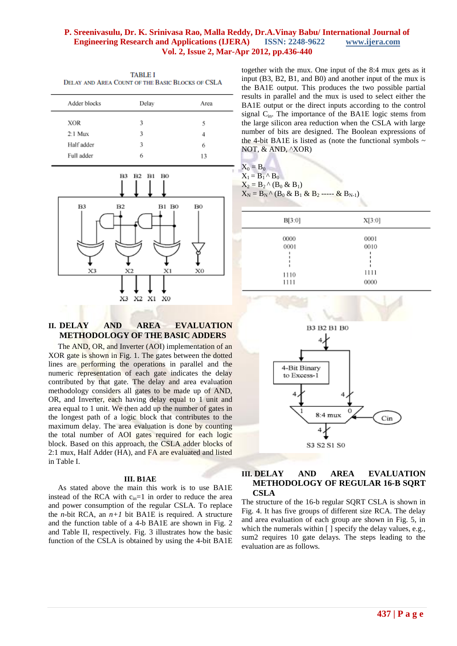| <b>TABLE I</b> |  |  |                                                  |
|----------------|--|--|--------------------------------------------------|
|                |  |  | DELAY AND AREA COUNT OF THE BASIC BLOCKS OF CSLA |

| Adder blocks | Delay | Area |
|--------------|-------|------|
| <b>XOR</b>   | 3     | 5    |
| $2:1$ Mux    | 3     | 4    |
| Half adder   | 3     | 6    |
| Full adder   | 6     | 13   |
|              |       |      |



## **II. DELAY AND AREA EVALUATION METHODOLOGY OF THE BASIC ADDERS**

 The AND, OR, and Inverter (AOI) implementation of an XOR gate is shown in Fig. 1. The gates between the dotted lines are performing the operations in parallel and the numeric representation of each gate indicates the delay contributed by that gate. The delay and area evaluation methodology considers all gates to be made up of AND, OR, and Inverter, each having delay equal to 1 unit and area equal to 1 unit. We then add up the number of gates in the longest path of a logic block that contributes to the maximum delay. The area evaluation is done by counting the total number of AOI gates required for each logic block. Based on this approach, the CSLA adder blocks of 2:1 mux, Half Adder (HA), and FA are evaluated and listed in Table I.

## **III. B1AE**

 As stated above the main this work is to use BA1E instead of the RCA with  $c_{in}=1$  in order to reduce the area and power consumption of the regular CSLA. To replace the *n*-bit RCA, an  $n+1$  bit BA1E is required. A structure and the function table of a 4-b BA1E are shown in Fig. 2 and Table II, respectively. Fig. 3 illustrates how the basic function of the CSLA is obtained by using the 4-bit BA1E together with the mux. One input of the 8:4 mux gets as it input (B3, B2, B1, and B0) and another input of the mux is the BA1E output. This produces the two possible partial results in parallel and the mux is used to select either the BA1E output or the direct inputs according to the control signal  $C_{in}$ . The importance of the BA1E logic stems from the large silicon area reduction when the CSLA with large number of bits are designed. The Boolean expressions of the 4-bit BA1E is listed as (note the functional symbols  $\sim$ NOT, & AND, ^XOR)

| $X_0 = B_0$                                                |  |
|------------------------------------------------------------|--|
| $X_1 = B_1 \wedge B_0$                                     |  |
| $X_2 = B_2^{\wedge} (B_0 \& B_1)$                          |  |
| $X_N = B_N^{\wedge} (B_0 \& B_1 \& B_2 \cdots \& B_{N-1})$ |  |

**APR** 

| B[3:0]                       | X[3:0]                       |  |
|------------------------------|------------------------------|--|
| 0000<br>0001<br>1110<br>1111 | 0001<br>0010<br>1111<br>0000 |  |



#### **III. DELAY AND AREA EVALUATION METHODOLOGY OF REGULAR 16-B SQRT CSLA**

The structure of the 16-b regular SQRT CSLA is shown in Fig. 4. It has five groups of different size RCA. The delay and area evaluation of each group are shown in Fig. 5, in which the numerals within  $\lceil \cdot \rceil$  specify the delay values, e.g., sum2 requires 10 gate delays. The steps leading to the evaluation are as follows.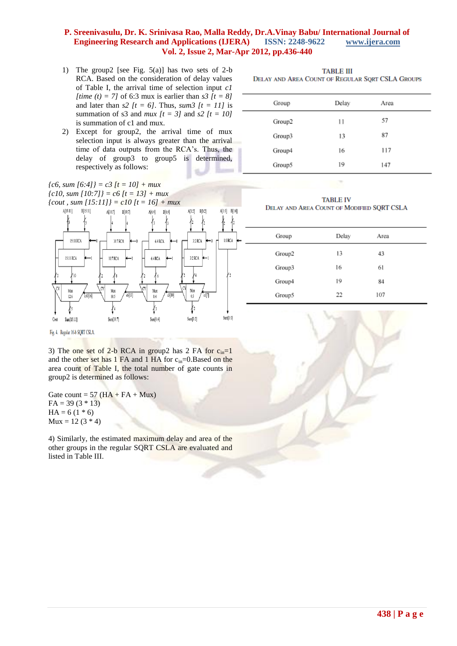- 1) The group2 [see Fig. 5(a)] has two sets of 2-b RCA. Based on the consideration of delay values of Table I, the arrival time of selection input *c1 [time (t) = 7]* of 6:3 mux is earlier than *s3 [t = 8]*  and later than  $s2$   $/t = 6$ . Thus,  $sum3$   $/t = 11$  is summation of s3 and *mux*  $[t = 3]$  and *s2*  $[t = 10]$ is summation of c1 and mux.
- 2) Except for group2, the arrival time of mux selection input is always greater than the arrival time of data outputs from the RCA's. Thus, the delay of group3 to group5 is determined, respectively as follows:

**TABLE III** DELAY AND AREA COUNT OF REGULAR SQRT CSLA GROUPS

| Group  | Delay | Area |  |
|--------|-------|------|--|
| Group2 | 11    | 57   |  |
| Group3 | 13    | 87   |  |
| Group4 | 16    | 117  |  |
| Group5 | 19    | 147  |  |

*{c6, sum [6:4]} = c3 [t = 10] + mux {c10, sum [10:7]} = c6 [t = 13] + mux*

*{cout , sum [15:11]} = c10 [t = 16] + mux*



**TABLE IV** DELAY AND AREA COUNT OF MODIFIED SQRT CSLA

| Group  | Delay | Area |  |
|--------|-------|------|--|
| Group2 | 13    | 43   |  |
| Group3 | 16    | 61   |  |
| Group4 | 19    | 84   |  |
| Group5 | 22    | 107  |  |

Fig. 4. Regular 16-b SQRT CSLA.

3) The one set of 2-b RCA in group2 has 2 FA for  $c_{in}=1$ and the other set has 1 FA and 1 HA for  $c_{in}=0$ . Based on the area count of Table I, the total number of gate counts in group2 is determined as follows:

Gate count =  $57$  (HA + FA + Mux)  $FA = 39(3 * 13)$  $HA = 6(1 * 6)$  $Mux = 12 (3 * 4)$ 

4) Similarly, the estimated maximum delay and area of the other groups in the regular SQRT CSLA are evaluated and listed in Table III.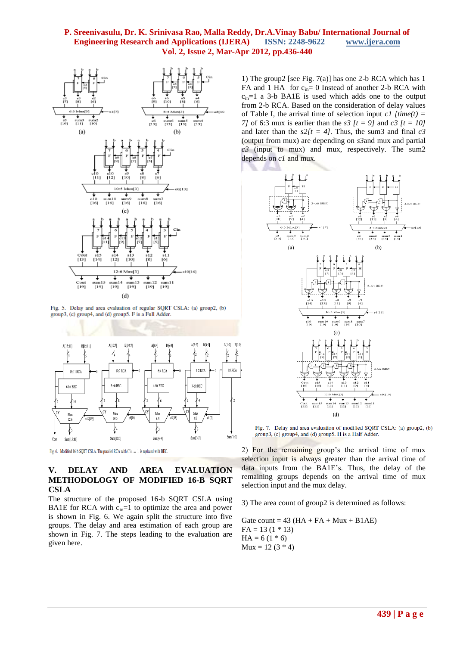

Fig. 5. Delay and area evaluation of regular SQRT CSLA: (a) group2, (b) group3, (c) group4, and (d) group5. F is a Full Adder.



Fig. 6. Modified 16-b SQRT CSLA. The parallel RCA with Cin = 1 is replaced with BEC.

# **V. DELAY AND AREA EVALUATION METHODOLOGY OF MODIFIED 16-B SQRT CSLA**

The structure of the proposed 16-b SQRT CSLA using BA1E for RCA with  $c_{in}=1$  to optimize the area and power is shown in Fig. 6. We again split the structure into five groups. The delay and area estimation of each group are shown in Fig. 7. The steps leading to the evaluation are given here.

1) The group2 [see Fig. 7(a)] has one 2-b RCA which has 1 FA and 1 HA for  $c_{in}= 0$  Instead of another 2-b RCA with  $c_{in}=1$  a 3-b BA1E is used which adds one to the output from 2-b RCA. Based on the consideration of delay values of Table I, the arrival time of selection input  $c1$  *[time(t) = 7]* of 6:3 mux is earlier than the *s3 [t = 9]* and *c3 [t = 10]* and later than the  $s2/t = 4$ . Thus, the sum3 and final  $c3$ (output from mux) are depending on *s3*and mux and partial *c3* (input to mux) and mux, respectively. The sum2 depends on *c1* and mux.



Fig. 7. Delay and area evaluation of modified SQRT CSLA: (a) group2, (b) group3, (c) group4, and (d) group5. H is a Half Adder.

2) For the remaining group's the arrival time of mux selection input is always greater than the arrival time of data inputs from the BA1E's. Thus, the delay of the remaining groups depends on the arrival time of mux selection input and the mux delay.

3) The area count of group2 is determined as follows:

Gate count =  $43$  (HA + FA + Mux + B1AE)  $FA = 13(1 * 13)$  $HA = 6(1 * 6)$  $Mux = 12 (3 * 4)$